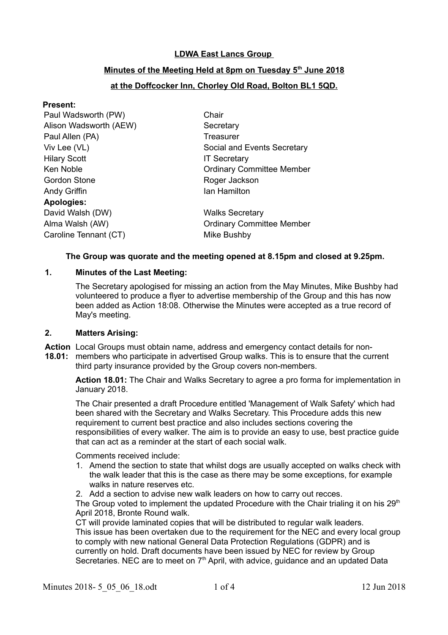# **LDWA East Lancs Group**

# **Minutes of the Meeting Held at 8pm on Tuesday 5th June 2018**

# **at the Doffcocker Inn, Chorley Old Road, Bolton BL1 5QD.**

| <b>Present:</b>        |                                  |
|------------------------|----------------------------------|
| Paul Wadsworth (PW)    | Chair                            |
| Alison Wadsworth (AEW) | Secretary                        |
| Paul Allen (PA)        | Treasurer                        |
| Viv Lee (VL)           | Social and Events Secretary      |
| <b>Hilary Scott</b>    | <b>IT Secretary</b>              |
| Ken Noble              | <b>Ordinary Committee Member</b> |
| <b>Gordon Stone</b>    | Roger Jackson                    |
| Andy Griffin           | Ian Hamilton                     |
| <b>Apologies:</b>      |                                  |
| David Walsh (DW)       | <b>Walks Secretary</b>           |
| Alma Walsh (AW)        | <b>Ordinary Committee Member</b> |
| Caroline Tennant (CT)  | Mike Bushby                      |
|                        |                                  |

#### **The Group was quorate and the meeting opened at 8.15pm and closed at 9.25pm.**

### **1. Minutes of the Last Meeting:**

The Secretary apologised for missing an action from the May Minutes, Mike Bushby had volunteered to produce a flyer to advertise membership of the Group and this has now been added as Action 18:08. Otherwise the Minutes were accepted as a true record of May's meeting.

#### **2. Matters Arising:**

**Action** Local Groups must obtain name, address and emergency contact details for non-

**18.01:** members who participate in advertised Group walks. This is to ensure that the current third party insurance provided by the Group covers non-members.

**Action 18.01:** The Chair and Walks Secretary to agree a pro forma for implementation in January 2018.

The Chair presented a draft Procedure entitled 'Management of Walk Safety' which had been shared with the Secretary and Walks Secretary. This Procedure adds this new requirement to current best practice and also includes sections covering the responsibilities of every walker. The aim is to provide an easy to use, best practice guide that can act as a reminder at the start of each social walk.

Comments received include:

- 1. Amend the section to state that whilst dogs are usually accepted on walks check with the walk leader that this is the case as there may be some exceptions, for example walks in nature reserves etc.
- 2. Add a section to advise new walk leaders on how to carry out recces.

The Group voted to implement the updated Procedure with the Chair trialing it on his  $29<sup>th</sup>$ April 2018, Bronte Round walk.

CT will provide laminated copies that will be distributed to regular walk leaders. This issue has been overtaken due to the requirement for the NEC and every local group to comply with new national General Data Protection Regulations (GDPR) and is currently on hold. Draft documents have been issued by NEC for review by Group Secretaries. NEC are to meet on 7<sup>th</sup> April, with advice, quidance and an updated Data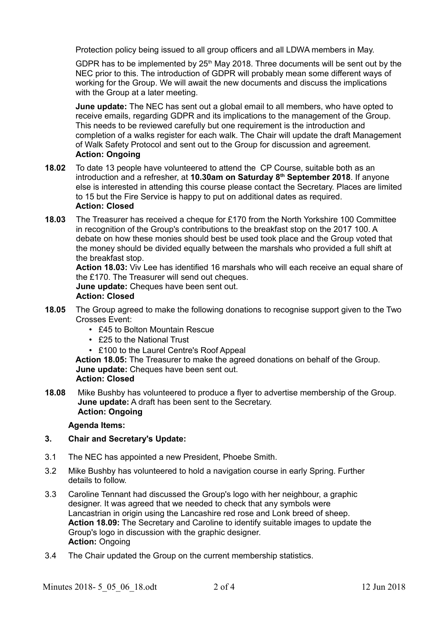Protection policy being issued to all group officers and all LDWA members in May.

GDPR has to be implemented by  $25<sup>th</sup>$  May 2018. Three documents will be sent out by the NEC prior to this. The introduction of GDPR will probably mean some different ways of working for the Group. We will await the new documents and discuss the implications with the Group at a later meeting.

**June update:** The NEC has sent out a global email to all members, who have opted to receive emails, regarding GDPR and its implications to the management of the Group. This needs to be reviewed carefully but one requirement is the introduction and completion of a walks register for each walk. The Chair will update the draft Management of Walk Safety Protocol and sent out to the Group for discussion and agreement. **Action: Ongoing**

- **18.02** To date 13 people have volunteered to attend the CP Course, suitable both as an introduction and a refresher, at **10.30am on Saturday 8th September 2018**. If anyone else is interested in attending this course please contact the Secretary. Places are limited to 15 but the Fire Service is happy to put on additional dates as required. **Action: Closed**
- **18.03** The Treasurer has received a cheque for £170 from the North Yorkshire 100 Committee in recognition of the Group's contributions to the breakfast stop on the 2017 100. A debate on how these monies should best be used took place and the Group voted that the money should be divided equally between the marshals who provided a full shift at the breakfast stop.

**Action 18.03:** Viv Lee has identified 16 marshals who will each receive an equal share of the £170. The Treasurer will send out cheques.

**June update:** Cheques have been sent out.

# **Action: Closed**

- **18.05** The Group agreed to make the following donations to recognise support given to the Two Crosses Event:
	- £45 to Bolton Mountain Rescue
	- £25 to the National Trust
	- £100 to the Laurel Centre's Roof Appeal

**Action 18.05:** The Treasurer to make the agreed donations on behalf of the Group. **June update:** Cheques have been sent out.

- **Action: Closed**
- **18.08** Mike Bushby has volunteered to produce a flyer to advertise membership of the Group. **June update:** A draft has been sent to the Secretary. **Action: Ongoing**

## **Agenda Items:**

# **3. Chair and Secretary's Update:**

- 3.1 The NEC has appointed a new President, Phoebe Smith.
- 3.2 Mike Bushby has volunteered to hold a navigation course in early Spring. Further details to follow.
- 3.3 Caroline Tennant had discussed the Group's logo with her neighbour, a graphic designer. It was agreed that we needed to check that any symbols were Lancastrian in origin using the Lancashire red rose and Lonk breed of sheep. **Action 18.09:** The Secretary and Caroline to identify suitable images to update the Group's logo in discussion with the graphic designer. **Action:** Ongoing
- 3.4 The Chair updated the Group on the current membership statistics.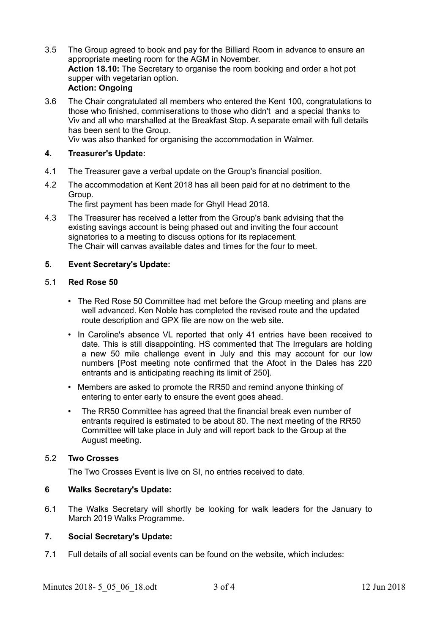- 3.5 The Group agreed to book and pay for the Billiard Room in advance to ensure an appropriate meeting room for the AGM in November. **Action 18.10:** The Secretary to organise the room booking and order a hot pot supper with vegetarian option. **Action: Ongoing**
- 3.6 The Chair congratulated all members who entered the Kent 100, congratulations to those who finished, commiserations to those who didn't and a special thanks to Viv and all who marshalled at the Breakfast Stop. A separate email with full details has been sent to the Group.

Viv was also thanked for organising the accommodation in Walmer.

## **4. Treasurer's Update:**

- 4.1 The Treasurer gave a verbal update on the Group's financial position.
- 4.2 The accommodation at Kent 2018 has all been paid for at no detriment to the Group.

The first payment has been made for Ghyll Head 2018.

4.3 The Treasurer has received a letter from the Group's bank advising that the existing savings account is being phased out and inviting the four account signatories to a meeting to discuss options for its replacement. The Chair will canvas available dates and times for the four to meet.

### **5. Event Secretary's Update:**

### 5.1 **Red Rose 50**

- The Red Rose 50 Committee had met before the Group meeting and plans are well advanced. Ken Noble has completed the revised route and the updated route description and GPX file are now on the web site.
- In Caroline's absence VL reported that only 41 entries have been received to date. This is still disappointing. HS commented that The Irregulars are holding a new 50 mile challenge event in July and this may account for our low numbers [Post meeting note confirmed that the Afoot in the Dales has 220 entrants and is anticipating reaching its limit of 250].
- Members are asked to promote the RR50 and remind anyone thinking of entering to enter early to ensure the event goes ahead.
- The RR50 Committee has agreed that the financial break even number of entrants required is estimated to be about 80. The next meeting of the RR50 Committee will take place in July and will report back to the Group at the August meeting.

### 5.2 **Two Crosses**

The Two Crosses Event is live on SI, no entries received to date.

## **6 Walks Secretary's Update:**

6.1 The Walks Secretary will shortly be looking for walk leaders for the January to March 2019 Walks Programme.

## **7. Social Secretary's Update:**

7.1 Full details of all social events can be found on the website, which includes: